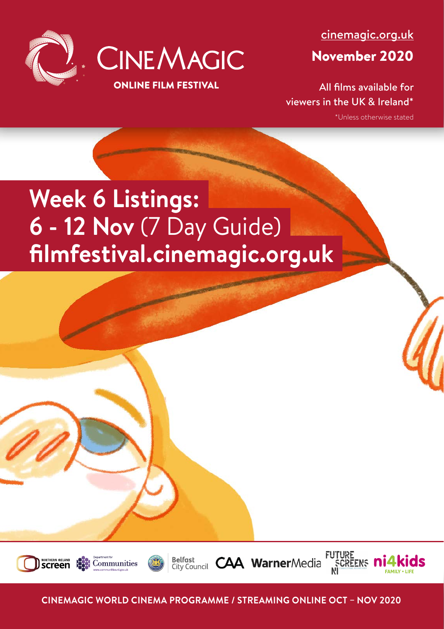

[cinemagic.org.uk](http://www.cinemagic.org.uk)

November 2020

All films available for viewers in the UK & Ireland\*

**SCREENS M** 

\*Unless otherwise stated

# **Week 6 Listings: 6 - 12 Nov** (7 Day Guide) **filmfestival.cinemagic.org.uk**







**CAA Warner**Media

**CINEMAGIC WORLD CINEMA PROGRAMME / STREAMING ONLINE OCT – NOV 2020**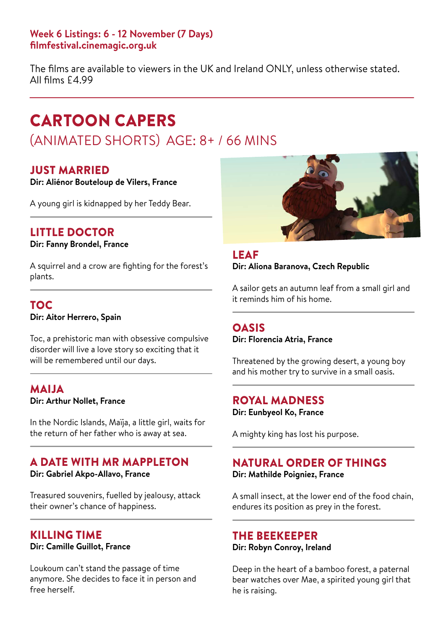The films are available to viewers in the UK and Ireland ONLY, unless otherwise stated. All films £4.99

## CARTOON CAPERS

## (ANIMATED SHORTS) AGE: 8+ / 66 MINS

## JUST MARRIED

**Dir: Aliénor Bouteloup de Vilers, France**

A young girl is kidnapped by her Teddy Bear.

## LITTLE DOCTOR

**Dir: Fanny Brondel, France**

A squirrel and a crow are fighting for the forest's plants.

## TOC

**Dir: Aitor Herrero, Spain**

Toc, a prehistoric man with obsessive compulsive disorder will live a love story so exciting that it will be remembered until our days.

#### **MAIJA Dir: Arthur Nollet, France**

In the Nordic Islands, Maïja, a little girl, waits for the return of her father who is away at sea.

#### A DATE WITH MR MAPPLETON **Dir: Gabriel Akpo-Allavo, France**

Treasured souvenirs, fuelled by jealousy, attack their owner's chance of happiness.

### KILLING TIME

**Dir: Camille Guillot, France**

Loukoum can't stand the passage of time anymore. She decides to face it in person and free herself.



LEAF **Dir: Aliona Baranova, Czech Republic**

A sailor gets an autumn leaf from a small girl and it reminds him of his home.

### OASIS

**Dir: Florencia Atria, France**

Threatened by the growing desert, a young boy and his mother try to survive in a small oasis.

## ROYAL MADNESS

**Dir: Eunbyeol Ko, France**

A mighty king has lost his purpose.

#### NATURAL ORDER OF THINGS **Dir: Mathilde Poigniez, France**

A small insect, at the lower end of the food chain, endures its position as prey in the forest.

#### THE BEEKEEPER

#### **Dir: Robyn Conroy, Ireland**

Deep in the heart of a bamboo forest, a paternal bear watches over Mae, a spirited young girl that he is raising.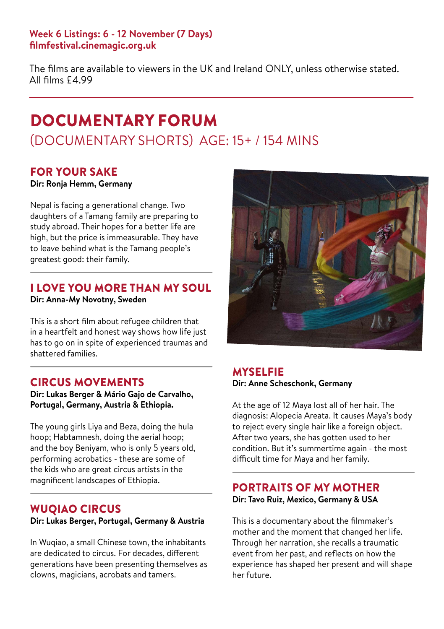The films are available to viewers in the UK and Ireland ONLY, unless otherwise stated. All films £4.99

## DOCUMENTARY FORUM (DOCUMENTARY SHORTS) AGE: 15+ / 154 MINS

## FOR YOUR SAKE

**Dir: Ronja Hemm, Germany**

Nepal is facing a generational change. Two daughters of a Tamang family are preparing to study abroad. Their hopes for a better life are high, but the price is immeasurable. They have to leave behind what is the Tamang people's greatest good: their family.

## I LOVE YOU MORE THAN MY SOUL

**Dir: Anna-My Novotny, Sweden**

This is a short film about refugee children that in a heartfelt and honest way shows how life just has to go on in spite of experienced traumas and shattered families.

## CIRCUS MOVEMENTS

**Dir: Lukas Berger & Mário Gajo de Carvalho, Portugal, Germany, Austria & Ethiopia.**

The young girls Liya and Beza, doing the hula hoop; Habtamnesh, doing the aerial hoop; and the boy Beniyam, who is only 5 years old, performing acrobatics - these are some of the kids who are great circus artists in the magnificent landscapes of Ethiopia.

## WUQIAO CIRCUS

**Dir: Lukas Berger, Portugal, Germany & Austria**

In Wuqiao, a small Chinese town, the inhabitants are dedicated to circus. For decades, different generations have been presenting themselves as clowns, magicians, acrobats and tamers.



## MYSELFIE **Dir: Anne Scheschonk, Germany**

At the age of 12 Maya lost all of her hair. The diagnosis: Alopecia Areata. It causes Maya's body to reject every single hair like a foreign object. After two years, she has gotten used to her condition. But it's summertime again - the most difficult time for Maya and her family.

## PORTRAITS OF MY MOTHER **Dir: Tavo Ruiz, Mexico, Germany & USA**

This is a documentary about the filmmaker's mother and the moment that changed her life. Through her narration, she recalls a traumatic event from her past, and reflects on how the experience has shaped her present and will shape her future.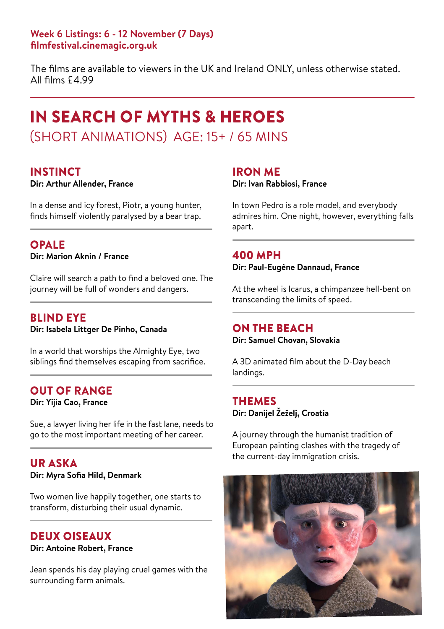The films are available to viewers in the UK and Ireland ONLY, unless otherwise stated. All films £4.99

## IN SEARCH OF MYTHS & HEROES (SHORT ANIMATIONS) AGE: 15+ / 65 MINS

#### INSTINCT

#### **Dir: Arthur Allender, France**

In a dense and icy forest, Piotr, a young hunter, finds himself violently paralysed by a bear trap.

#### OPALE

**Dir: Marion Aknin / France**

Claire will search a path to find a beloved one. The journey will be full of wonders and dangers.

## BLIND EYE

**Dir: Isabela Littger De Pinho, Canada**

In a world that worships the Almighty Eye, two siblings find themselves escaping from sacrifice.

### OUT OF RANGE

**Dir: Yijia Cao, France**

Sue, a lawyer living her life in the fast lane, needs to go to the most important meeting of her career.

#### UR ASKA **Dir: Myra Sofia Hild, Denmark**

Two women live happily together, one starts to transform, disturbing their usual dynamic.

## DEUX OISEAUX

#### **Dir: Antoine Robert, France**

Jean spends his day playing cruel games with the surrounding farm animals.

#### IRON ME

#### **Dir: Ivan Rabbiosi, France**

In town Pedro is a role model, and everybody admires him. One night, however, everything falls apart.

#### 400 MPH

**Dir: Paul-Eugène Dannaud, France**

At the wheel is Icarus, a chimpanzee hell-bent on transcending the limits of speed.

### ON THE BEACH

**Dir: Samuel Chovan, Slovakia**

A 3D animated film about the D-Day beach landings.

#### THEMES **Dir: Danijel Žeželj, Croatia**

A journey through the humanist tradition of European painting clashes with the tragedy of the current-day immigration crisis.

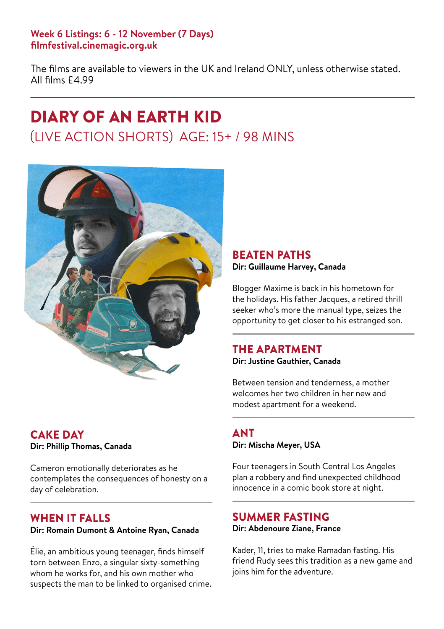The films are available to viewers in the UK and Ireland ONLY, unless otherwise stated. All films £4.99

## DIARY OF AN EARTH KID (LIVE ACTION SHORTS) AGE: 15+ / 98 MINS



## CAKE DAY **Dir: Phillip Thomas, Canada**

Cameron emotionally deteriorates as he contemplates the consequences of honesty on a day of celebration.

#### WHEN IT FALLS **Dir: Romain Dumont & Antoine Ryan, Canada**

Élie, an ambitious young teenager, finds himself torn between Enzo, a singular sixty-something whom he works for, and his own mother who suspects the man to be linked to organised crime.

#### BEATEN PATHS **Dir: Guillaume Harvey, Canada**

Blogger Maxime is back in his hometown for the holidays. His father Jacques, a retired thrill seeker who's more the manual type, seizes the opportunity to get closer to his estranged son.

## THE APARTMENT

**Dir: Justine Gauthier, Canada**

Between tension and tenderness, a mother welcomes her two children in her new and modest apartment for a weekend.

## **ANT Dir: Mischa Meyer, USA**

Four teenagers in South Central Los Angeles plan a robbery and find unexpected childhood innocence in a comic book store at night.

## SUMMER FASTING **Dir: Abdenoure Ziane, France**

Kader, 11, tries to make Ramadan fasting. His friend Rudy sees this tradition as a new game and joins him for the adventure.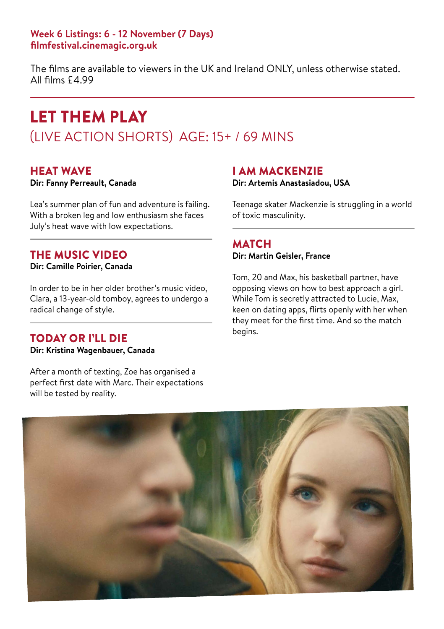The films are available to viewers in the UK and Ireland ONLY, unless otherwise stated. All films £4.99

## LET THEM PLAY (LIVE ACTION SHORTS) AGE: 15+ / 69 MINS

#### HEAT WAVE

**Dir: Fanny Perreault, Canada**

Lea's summer plan of fun and adventure is failing. With a broken leg and low enthusiasm she faces July's heat wave with low expectations.

## THE MUSIC VIDEO

**Dir: Camille Poirier, Canada**

In order to be in her older brother's music video, Clara, a 13-year-old tomboy, agrees to undergo a radical change of style.

## TODAY OR I'LL DIE

**Dir: Kristina Wagenbauer, Canada**

After a month of texting, Zoe has organised a perfect first date with Marc. Their expectations will be tested by reality.

## I AM MACKENZIE

**Dir: Artemis Anastasiadou, USA**

Teenage skater Mackenzie is struggling in a world of toxic masculinity.

### **MATCH**

**Dir: Martin Geisler, France**

Tom, 20 and Max, his basketball partner, have opposing views on how to best approach a girl. While Tom is secretly attracted to Lucie, Max, keen on dating apps, flirts openly with her when they meet for the first time. And so the match begins.